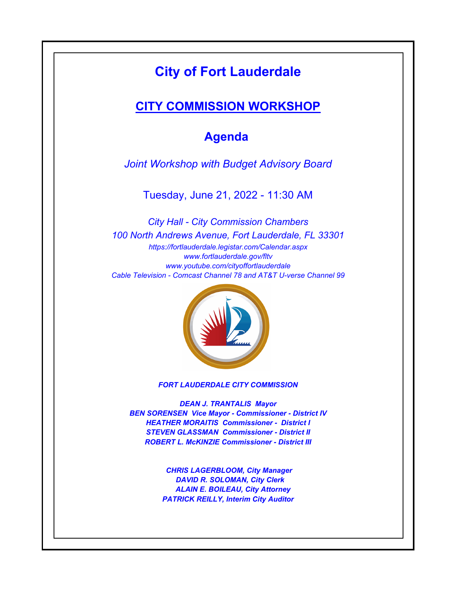# **City of Fort Lauderdale**

### **CITY COMMISSION WORKSHOP**

## **Agenda**

*Joint Workshop with Budget Advisory Board*

Tuesday, June 21, 2022 - 11:30 AM

*https://fortlauderdale.legistar.com/Calendar.aspx www.fortlauderdale.gov/fltv www.youtube.com/cityoffortlauderdale Cable Television - Comcast Channel 78 and AT&T U-verse Channel 99 City Hall - City Commission Chambers 100 North Andrews Avenue, Fort Lauderdale, FL 33301*



*FORT LAUDERDALE CITY COMMISSION*

*DEAN J. TRANTALIS Mayor BEN SORENSEN Vice Mayor - Commissioner - District IV HEATHER MORAITIS Commissioner - District I STEVEN GLASSMAN Commissioner - District II ROBERT L. McKINZIE Commissioner - District III*

> *CHRIS LAGERBLOOM, City Manager DAVID R. SOLOMAN, City Clerk ALAIN E. BOILEAU, City Attorney PATRICK REILLY, Interim City Auditor*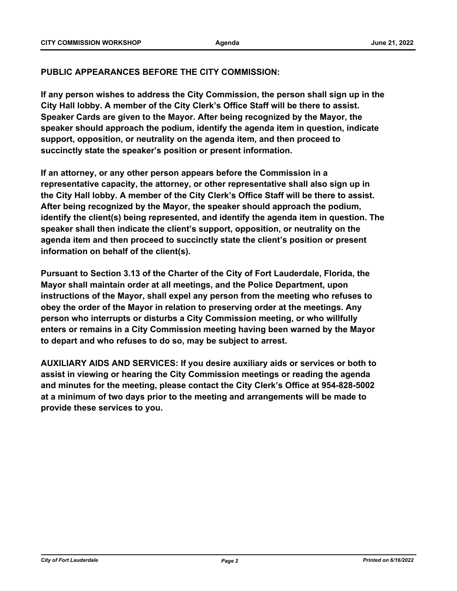#### **PUBLIC APPEARANCES BEFORE THE CITY COMMISSION:**

**If any person wishes to address the City Commission, the person shall sign up in the City Hall lobby. A member of the City Clerk's Office Staff will be there to assist. Speaker Cards are given to the Mayor. After being recognized by the Mayor, the speaker should approach the podium, identify the agenda item in question, indicate support, opposition, or neutrality on the agenda item, and then proceed to succinctly state the speaker's position or present information.**

**If an attorney, or any other person appears before the Commission in a representative capacity, the attorney, or other representative shall also sign up in the City Hall lobby. A member of the City Clerk's Office Staff will be there to assist. After being recognized by the Mayor, the speaker should approach the podium, identify the client(s) being represented, and identify the agenda item in question. The speaker shall then indicate the client's support, opposition, or neutrality on the agenda item and then proceed to succinctly state the client's position or present information on behalf of the client(s).**

**Pursuant to Section 3.13 of the Charter of the City of Fort Lauderdale, Florida, the Mayor shall maintain order at all meetings, and the Police Department, upon instructions of the Mayor, shall expel any person from the meeting who refuses to obey the order of the Mayor in relation to preserving order at the meetings. Any person who interrupts or disturbs a City Commission meeting, or who willfully enters or remains in a City Commission meeting having been warned by the Mayor to depart and who refuses to do so, may be subject to arrest.**

**AUXILIARY AIDS AND SERVICES: If you desire auxiliary aids or services or both to assist in viewing or hearing the City Commission meetings or reading the agenda and minutes for the meeting, please contact the City Clerk's Office at 954-828-5002 at a minimum of two days prior to the meeting and arrangements will be made to provide these services to you.**